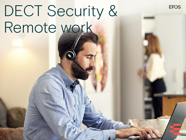# DECT Security & Remote work

**EPOS**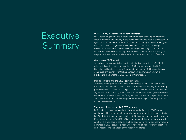# **Executive** Summary

#### DECT security is vital for the modern workforce

DECT technology offers the modern workforce many advantages, especially when it comes to the security of the communication and data of businesses. In light of the recent shift to the remote workplace, security is one of the biggest issues for businesses globally. How can we ensure that those working from home, remotely or indeed while away travelling can still rely on the security of their audio solutions? Ensuring peace-of-mind that no-one is listening in on your business calls is a vital consideration for every serious professional.

#### Get to know DECT security

To address this issue and describe the latest advances in the EPOS DECT offering, this white paper first describes DECT technology and the DECT Security Certification Program. Secondly, it outlines the DECT security chain comprised of "Pairing", "Per Call Authentication" and "Encryption", while highlighting the benefits of DECT Security Certification.

#### Mobile solutions and the DECT security chain

The white paper goes on to describe the advances in DECT security built into our mobile DECT solution – the SDW D1 USB dongle. The security of the pairing process between headset and dongle has been enhanced by the authentication algorithm (DSAA2). This algorithm, means both headset and dongle have already reached the necessary criteria as if they had been certified for step B of the DECT Security Certification. This process provides an added layer of security in addition to the standard step A.

#### The future of secure, mobile DECT solutions

By focusing on pioneering audio technology and refining its DECT audio solutions, EPOS has been able to provide a new level of DECT security with its IMPACT 5000 Series premium wireless DECT headsets and a flexible, dynamic DECT dongle – the SDW D1 USB. Over the course of this white paper you will see how this new secure solution enables peace of mind for our users through advances in DECT security, a keen understanding of mobile working practices and a response to the needs of the modern workforce.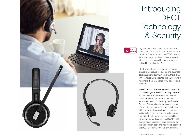

# Introducing DECT **Technology** & Security



Digital Enhanced Cordless Telecommunications (DECT™) is the European Telecommunications Standards Institute's (ETSI) standard for short-range, cordless communications, which can be adapted for voice, data and networking applications\*.

DECT technology has become the global standard for secure residential and business cordless phone communications. More than 110 countries have adopted the DECT system with more than 100 million new devices sold annually.

IMPACT 5000 Series headsets & the SDW D1 USB dongle are DECT security certified To meet the increased demand for secure communications, the DECT Forum has established the DECT Security Certification Program. The certification program consists of a set of requirements and security features, which when implemented in a product are validated by an accredited and independent test laboratory to show compliance. IMPACT 5000 Series headsets and the SDW D1 USB dongle have successfully been assessed by the qualification body and as a result, obtained the DECT Security Certificate of Conformity.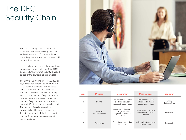# The DECT Security Chain

The DECT security chain consists of the three main processes "Pairing", "Per Call Authentication" and "Encryption". Later in the white paper these three processes will be described in detail.

DECT enabled devices usually follow these processes. However, with the SDW D1 USB dongle, a further layer of security is added on top of the standard pairing process:

The SDW D1 USB dongle uses AES-128-bit keys which corresponds to step B of the DECT security standard. Products that achieve step A of the DECT security standard only use 64-bit keys. For every extra "bit" the number of key combinations doubles. I.e. 65-bit enables double the number of key combinations that 64-bit can, and 66-bit doubles that number again. The number of combinations increases exponentially with every bit added up to 128-bit keys (step B of the DECT security standard), therefore increasing security correspondingly.



| Order          | <b>Process</b>               | <b>Description</b>                                                           | Main purpose                                                   | <b>Frequency</b>       |
|----------------|------------------------------|------------------------------------------------------------------------------|----------------------------------------------------------------|------------------------|
|                | Pairing                      | Registration of security<br>bindings between<br>headset & base station       | Ensure connection<br>established between<br>authorized devices | Once.<br>during set-up |
| $\mathfrak{D}$ | Per Call<br>Authentification | Verification of security<br>bindings between<br>registered headset<br>& base | Verify that call is made<br>between authorized<br>devices      | Every call             |
| 3              | Encryption                   | Encoding of voice data<br>during calls                                       | Make call data unusable<br>to intruders                        | Every call             |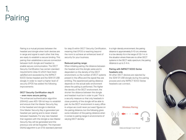# 1. Pairing

Pairing is a mutual process between the headset and dongle when both devices are in range and signal to each other that they are ready to establish a secure binding. This pairing then establishes a secure connection between both dongle and headset to enable secure communication. The DECT Security Certification has certain standard requirements (step A) which have been satisfied and exceeded by the IMPACT 5000 Series headset and the SDW D1 USB dongle. In order to reach a higher level of security EPOS has added the following improvements:

#### DECT Security Certification step B – even more secure pairing

The enhanced authentication algorithm (DSAA2) uses AES-128-bit keys to establish and ensure that the Master Security Key in the headset and dongle is identical. One Master Security Key is generated per headset per pairing and is never shared between headsets. For any new headset that registers with the dongle a new Master Security Key will be generated and the previous one will be forgotten. The improved DSAA2 algorithm is an ETSI standard planned for step B within DECT Security Certification, meaning that EPOS is reaching beyond the norm to achieve an enhanced level of security for your business.

#### Reduced pairing range:

When initiating pairing, the distance between the headset and the dongle varies and is dependent on the density of the DECT environment, i.e. the number of DECT systems present in the office and the signal they are emitting. The experienced pairing distance depends on the actual radio environment where the pairing is performed. The higher the density of the DECT environment, the shorter the distance between the dongle and headset must be in order to pair. This is a security measure so that only headsets in close proximity of the dongle will be able to pair. As the DECT environment in every office is unique we could never put exact figures on the pairing distance, but the following gives some indication of the pairing distance when it comes to pairing range in environments of varying DECT density:

In a high-density environment, the pairing distance is approximately 5-10 cm, whereas in a low density it's in the range of 0,5-1 m. In the situation where there are no other DECT systems in the DECT radio spectrum, the pairing distance is up to 3-4 m.

#### Pairing with IMPACT 5000 Series headsets only

All other DECT devices are rejected by the SDW D1 USB dongle during the pairing process and only IMPACT 5000 Series headsets can connect.



Data exchanged 'over the air'

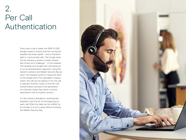### 2. Per Call Authentication

Every time a call is made, the SDW D1 USB dongle needs to ensure that the connected headset has been paired – and is therefore safe to communicate with. The dongle does this by sending a random number stream – also known as a 'challenge' – to the headset. The headset and dongle then simultaneous ly run an authentication algorithm, using the random numbers and Master Security Key as input. The headset sends its 'response' back to the dongle and if the calculation outputs match, the call can be placed. If not, the call is rejected. Another output of the Per Call Authentication process is the generation of a Derived Cipher Key, which is further described in the Encryption section.

It is the industry standard to authenticate headsets 'over the air' at the beginning of each call. While this data can be 'sniffed' by an intruder, it is of no value without knowing the Master Security Key.

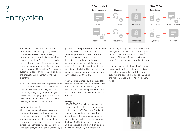# 3. Encryption



The overall purpose of encryption is to protect the confidentiality of digital data transmitted between parties, thereby preventing unauthorized third parties from accessing the data. For a business headset system, the data transmitted 'over the air' consist of a combination of digitized voices and of link control information. An encryption system consists of an algorithm which does the encryption and an input key to the algorithm.

A DECT standard encryption algorithm called DSC (with 64-bit keys) is used to encrypt voice data (in both directions) and callrelated digital signaling. To protect against passive eavesdropping by an unauthorized user, the encrypted data would look like a meaningless stream of digital data.

#### Initiation of encryption

All calls are encrypted, a process which cannot be bypassed. Early encryption is a process required by the DECT Security Certification program, which guarantees that no voice or call data can be exchanged before the encryption has been activated. With early encryption, a Default Cipher Key is generated during pairing which is then used for encryption. This will be used until the first Derived Cipher Key has been calculated. The encryption protocol is designed to detect if the peer (headset) behaves in an unexpected manner. In this event the system will assume it is an attempt to breach security and the link will be terminated. This feature is required in order to comply with DECT Security Certification.

A new Derived Cipher Key is produced for each call during the Per Call Authentication process (as previously described). As a result, any previous encrypted information becomes invalid for the establishment of a new call.

#### Re-keying

IMPACT 5000 Series headsets have a rekeying procedure, which is another feature certified by the DECT Security Certification Program. It consists of modifying the Derived Cipher Key approximately every minute during a call. This means that when the SDW D1 USB dongle and headset have established a call, the 64-bit keys are renewed continuously throughout the call.

In the very unlikely case that a threat actor manages to determine the Derived Cipher Key, it will become invalid within max. 60 seconds. This is a safeguard against any brute-force attempts to crack the ciphering.

If the headset rejects the authentication or answers with an incorrect authentication result, the dongle will immediately drop the call. Trying to decode the data stream using the wrong Derived Cipher Key will generate noise.

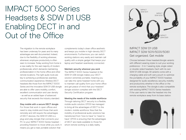## IMPACT 5000 Series Headsets & SDW D1 USB Enabling DECT in and Out of the Office

The migration to the remote workplace has been underway for years and its many advantages are well documented. Indeed, due to the flexibility of working wherever, whenever, employee productivity is often seen to increase. Today working from home is a new reality for the vast majority of modern professionals, which demands maintaining professionalism in the home office and other remote locations. The right audio tools are key to achieving a professional, seamless communication experience. Wireless DECT headsets like those from the IMPACT 5000 Series and the innovative SDW D1 USB dongle are able to offer users mobility, comfort, excellent communication and user density – as well as an added layer of advanced security that exceeds the industry standard.

#### Stay mobile with a secure DECT dongle

For those that work in open offices and need to stay mobile and those that work remotely and still require the advantages of DECT devices, the SDW D1 USB is a plug-and-play dongle that connects your PC to your IMPACT 5000 Series headset – providing freedom to move while you work. It means you get a neat, portable solution that

complements today's clean office aesthetic and keeps you mobile in high-density DECT environments. Furthermore, you can switch working stations very easily and maintain call quality with a simple gadget that keeps your laptop and headset seamlessly connected.

#### Maintain security wherever you work

The IMPACT 5000 Series headset & the SDW D1 USB dongle makes your DECT solution extremely portable, meaning you can take the same headset home with you to maintain call quality form your home office and get peace of mind that your headset/ dongle solution complies with the DECT Security Certification program.

#### Meeting the needs of the mobile workforce

Through tailoring DECT security to a flexible, mobile audio solution, EPOS has managed to bring all the advantages of DECT to the modern, mobile workforce. Now that the mobility of professional audio solutions has transitioned from "nice to have" to "need to have", EPOS is ensuring that the advantages of DECT are made available to those for whom remote working is a daily reality.



#### IMPACT SDW D1 USB IMPACT SDW 5011/5031/5061 Get organized. Get mobile

Choose between three headset/dongle variants with different wearing styles to suit your working preference – 3-in-1 wearing style, single-sided or double-sided headsets. Each with its own SDW D1 USB dongle. All variants come with a charging cable and soft carry pouch to optimize the portability of your IMPACT 5000 headset, designed for audio excellence, security, mobility and productivity whether in the office or the remote workplace. The dongle is also compatible with existing IMPACT 5000 Series headsets if the user wants to take the headset into the remote workplace away from its base station.